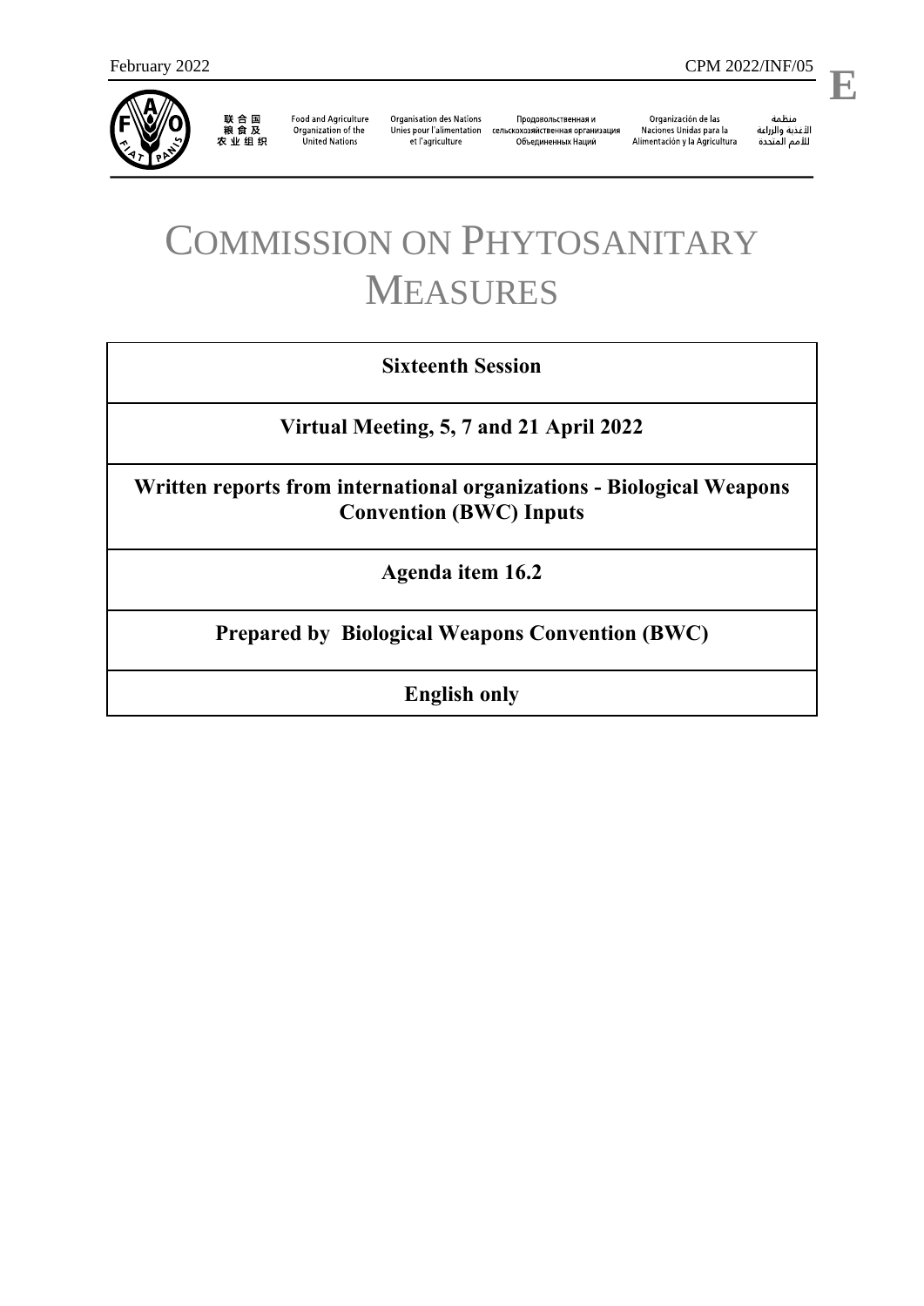

联合国<br>粮食及<br>农业组织

**Food and Agriculture** Organization of the **United Nations** 

**Organisation des Nations** et l'agriculture

Продовольственная и Unies pour l'alimentation сельскохозяйственная организация Объединенных Наций

Organización de las Naciones Unidas para la Alimentación y la Agricultura

منظمة ستنسه<br>الأغذية والزراعة<br>للأمم المتددة

l,

# COMMISSION ON PHYTOSANITARY MEASURES

## **Sixteenth Session**

**Virtual Meeting, 5, 7 and 21 April 2022**

**Written reports from international organizations - Biological Weapons Convention (BWC) Inputs**

**Agenda item 16.2**

**Prepared by Biological Weapons Convention (BWC)**

**English only**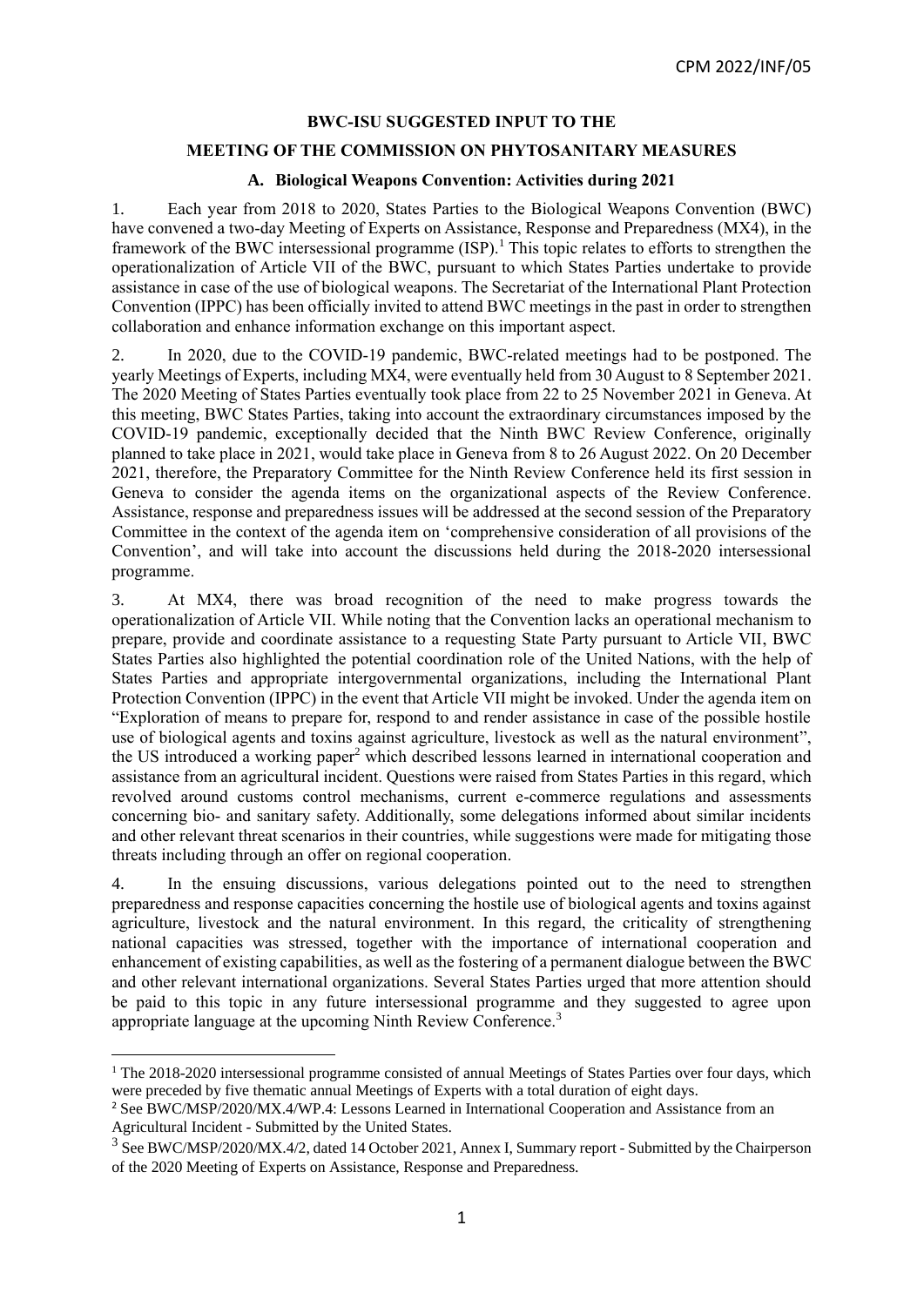#### **BWC-ISU SUGGESTED INPUT TO THE**

#### **MEETING OF THE COMMISSION ON PHYTOSANITARY MEASURES**

### **A. Biological Weapons Convention: Activities during 2021**

1. Each year from 2018 to 2020, States Parties to the Biological Weapons Convention (BWC) have convened a two-day Meeting of Experts on Assistance, Response and Preparedness (MX4), in the framework of the BWC intersessional programme (ISP).<sup>1</sup> This topic relates to efforts to strengthen the operationalization of Article VII of the BWC, pursuant to which States Parties undertake to provide assistance in case of the use of biological weapons. The Secretariat of the International Plant Protection Convention (IPPC) has been officially invited to attend BWC meetings in the past in order to strengthen collaboration and enhance information exchange on this important aspect.

2. In 2020, due to the COVID-19 pandemic, BWC-related meetings had to be postponed. The yearly Meetings of Experts, including MX4, were eventually held from 30 August to 8 September 2021. The 2020 Meeting of States Parties eventually took place from 22 to 25 November 2021 in Geneva. At this meeting, BWC States Parties, taking into account the extraordinary circumstances imposed by the COVID-19 pandemic, exceptionally decided that the Ninth BWC Review Conference, originally planned to take place in 2021, would take place in Geneva from 8 to 26 August 2022. On 20 December 2021, therefore, the Preparatory Committee for the Ninth Review Conference held its first session in Geneva to consider the agenda items on the organizational aspects of the Review Conference. Assistance, response and preparedness issues will be addressed at the second session of the Preparatory Committee in the context of the agenda item on 'comprehensive consideration of all provisions of the Convention', and will take into account the discussions held during the 2018-2020 intersessional programme.

3. At MX4, there was broad recognition of the need to make progress towards the operationalization of Article VII. While noting that the Convention lacks an operational mechanism to prepare, provide and coordinate assistance to a requesting State Party pursuant to Article VII, BWC States Parties also highlighted the potential coordination role of the United Nations, with the help of States Parties and appropriate intergovernmental organizations, including the International Plant Protection Convention (IPPC) in the event that Article VII might be invoked. Under the agenda item on "Exploration of means to prepare for, respond to and render assistance in case of the possible hostile use of biological agents and toxins against agriculture, livestock as well as the natural environment", the US introduced a working paper<sup>2</sup> which described lessons learned in international cooperation and assistance from an agricultural incident. Questions were raised from States Parties in this regard, which revolved around customs control mechanisms, current e-commerce regulations and assessments concerning bio- and sanitary safety. Additionally, some delegations informed about similar incidents and other relevant threat scenarios in their countries, while suggestions were made for mitigating those threats including through an offer on regional cooperation.

4. In the ensuing discussions, various delegations pointed out to the need to strengthen preparedness and response capacities concerning the hostile use of biological agents and toxins against agriculture, livestock and the natural environment. In this regard, the criticality of strengthening national capacities was stressed, together with the importance of international cooperation and enhancement of existing capabilities, as well as the fostering of a permanent dialogue between the BWC and other relevant international organizations. Several States Parties urged that more attention should be paid to this topic in any future intersessional programme and they suggested to agree upon appropriate language at the upcoming Ninth Review Conference.<sup>3</sup>

**.** 

<sup>&</sup>lt;sup>1</sup> The 2018-2020 intersessional programme consisted of annual Meetings of States Parties over four days, which were preceded by five thematic annual Meetings of Experts with a total duration of eight days.

<sup>2</sup> See BWC/MSP/2020/MX.4/WP.4: Lessons Learned in International Cooperation and Assistance from an Agricultural Incident - Submitted by the United States.

<sup>&</sup>lt;sup>3</sup> See [BWC/MSP/2020/MX.4/2,](https://undocs.org/BWC/MSP/2020/MX.4/WP.4) dated 14 October 2021, Annex I, Summary report - Submitted by the Chairperson of the 2020 Meeting of Experts on Assistance, Response and Preparedness.